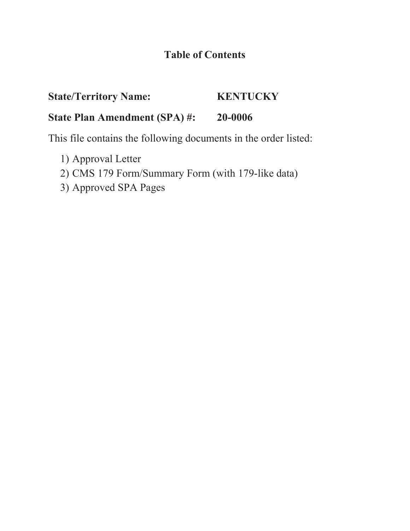## **Table of Contents**

# **State/Territory Name: KENTUCKY**

## **State Plan Amendment (SPA) #: 20-0006**

This file contains the following documents in the order listed:

- 1) Approval Letter
- 2) CMS 179 Form/Summary Form (with 179-like data)
- 3) Approved SPA Pages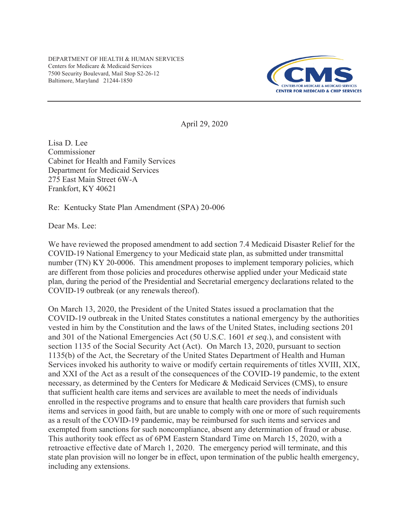DEPARTMENT OF HEALTH & HUMAN SERVICES Centers for Medicare & Medicaid Services 7500 Security Boulevard, Mail Stop S2-26-12 Baltimore, Maryland 21244-1850



April 29, 2020

Lisa D. Lee Commissioner Cabinet for Health and Family Services Department for Medicaid Services 275 East Main Street 6W-A Frankfort, KY 40621

Re: Kentucky State Plan Amendment (SPA) 20-006

Dear Ms. Lee

We have reviewed the proposed amendment to add section 7.4 Medicaid Disaster Relief for the COVID-19 National Emergency to your Medicaid state plan, as submitted under transmittal number (TN) KY 20-0006. This amendment proposes to implement temporary policies, which are different from those policies and procedures otherwise applied under your Medicaid state plan, during the period of the Presidential and Secretarial emergency declarations related to the COVID-19 outbreak (or any renewals thereof).

On March 13, 2020, the President of the United States issued a proclamation that the COVID-19 outbreak in the United States constitutes a national emergency by the authorities vested in him by the Constitution and the laws of the United States, including sections 201 and 301 of the National Emergencies Act (50 U.S.C. 1601 *et seq*.), and consistent with section 1135 of the Social Security Act (Act). On March 13, 2020, pursuant to section 1135(b) of the Act, the Secretary of the United States Department of Health and Human Services invoked his authority to waive or modify certain requirements of titles XVIII, XIX, and XXI of the Act as a result of the consequences of the COVID-19 pandemic, to the extent necessary, as determined by the Centers for Medicare & Medicaid Services (CMS), to ensure that sufficient health care items and services are available to meet the needs of individuals enrolled in the respective programs and to ensure that health care providers that furnish such items and services in good faith, but are unable to comply with one or more of such requirements as a result of the COVID-19 pandemic, may be reimbursed for such items and services and exempted from sanctions for such noncompliance, absent any determination of fraud or abuse. This authority took effect as of 6PM Eastern Standard Time on March 15, 2020, with a retroactive effective date of March 1, 2020. The emergency period will terminate, and this state plan provision will no longer be in effect, upon termination of the public health emergency, including any extensions.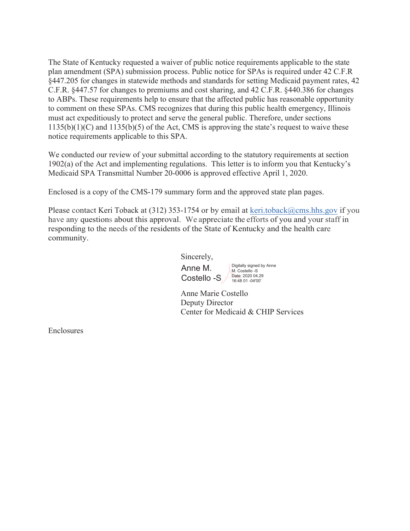The State of Kentucky requested a waiver of public notice requirements applicable to the state plan amendment (SPA) submission process. Public notice for SPAs is required under 42 C.F.R §447.205 for changes in statewide methods and standards for setting Medicaid payment rates, 42 C.F.R. §447.57 for changes to premiums and cost sharing, and 42 C.F.R. §440.386 for changes to ABPs. These requirements help to ensure that the affected public has reasonable opportunity to comment on these SPAs. CMS recognizes that during this public health emergency, Illinois must act expeditiously to protect and serve the general public. Therefore, under sections  $1135(b)(1)(C)$  and  $1135(b)(5)$  of the Act, CMS is approving the state's request to waive these notice requirements applicable to this SPA.

We conducted our review of your submittal according to the statutory requirements at section 1902(a) of the Act and implementing regulations. This letter is to inform you that Kentucky's Medicaid SPA Transmittal Number 20-0006 is approved effective April 1, 2020.

Enclosed is a copy of the CMS-179 summary form and the approved state plan pages.

Please contact Keri Toback at (312) 353-1754 or by email at keri.toback@cms.hhs.gov if you have any questions about this approval. We appreciate the efforts of you and your staff in responding to the needs of the residents of the State of Kentucky and the health care community.

Sincerely,

Anne M. Costello -S  $\frac{\text{Date: }2020~04.29}{16:48~01~04'00'}$ 

Digitally signed by Anne M. Costello -S

Anne Marie Costello Deputy Director Center for Medicaid & CHIP Services

Enclosures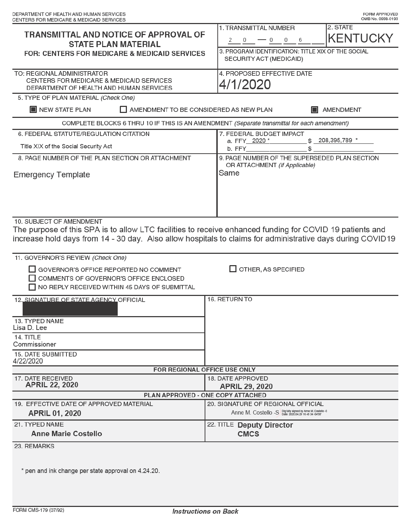| CENTERS FOR MEDICARE & MEDICAID SERVICES                                                                                                                                                                                                                                                                                                                                   |                                                                                                                                                          |  |  |  |
|----------------------------------------------------------------------------------------------------------------------------------------------------------------------------------------------------------------------------------------------------------------------------------------------------------------------------------------------------------------------------|----------------------------------------------------------------------------------------------------------------------------------------------------------|--|--|--|
| <b>TRANSMITTAL AND NOTICE OF APPROVAL OF</b><br><b>STATE PLAN MATERIAL</b><br><b>FOR: CENTERS FOR MEDICARE &amp; MEDICAID SERVICES</b>                                                                                                                                                                                                                                     | 1. TRANSMITTAL NUMBER<br>2. STATE<br><b>KENTUCKY</b><br>$-0$ 0 6<br>2 0<br>3. PROGRAM IDENTIFICATION: TITLE XIX OF THE SOCIAL<br>SECURITY ACT (MEDICAID) |  |  |  |
| TO: REGIONAL ADMINISTRATOR<br>CENTERS FOR MEDICARE & MEDICAID SERVICES<br>DEPARTMENT OF HEALTH AND HUMAN SERVICES                                                                                                                                                                                                                                                          | 4. PROPOSED EFFECTIVE DATE<br>4/1/2020                                                                                                                   |  |  |  |
| 5. TYPE OF PLAN MATERIAL (Check One)<br>NEW STATE PLAN<br>AMENDMENT TO BE CONSIDERED AS NEW PLAN                                                                                                                                                                                                                                                                           | AMENDMENT                                                                                                                                                |  |  |  |
| COMPLETE BLOCKS 6 THRU 10 IF THIS IS AN AMENDMENT (Separate transmittal for each amendment)                                                                                                                                                                                                                                                                                |                                                                                                                                                          |  |  |  |
| 6. FEDERAL STATUTE/REGULATION CITATION<br>Title XIX of the Social Security Act                                                                                                                                                                                                                                                                                             | 7. FEDERAL BUDGET IMPACT<br>\$ 208,395,789 *<br>a. FFY 2020 *<br>\$<br>b. FFY_                                                                           |  |  |  |
| 8. PAGE NUMBER OF THE PLAN SECTION OR ATTACHMENT<br><b>Emergency Template</b>                                                                                                                                                                                                                                                                                              | 9. PAGE NUMBER OF THE SUPERSEDED PLAN SECTION<br>OR ATTACHMENT (If Applicable)<br>Same                                                                   |  |  |  |
| 10. SUBJECT OF AMENDMENT<br>The purpose of this SPA is to allow LTC facilities to receive enhanced funding for COVID 19 patients and<br>increase hold days from 14 - 30 day. Also allow hospitals to claims for administrative days during COVID19<br>11. GOVERNOR'S REVIEW (Check One)<br>GOVERNOR'S OFFICE REPORTED NO COMMENT<br>COMMENTS OF GOVERNOR'S OFFICE ENCLOSED | OTHER, AS SPECIFIED                                                                                                                                      |  |  |  |
| NO REPLY RECEIVED WITHIN 45 DAYS OF SUBMITTAL<br>12. SIGNATURE OF STATE AGENCY OFFICIAL<br>13. TYPED NAME<br>Lisa D. Lee                                                                                                                                                                                                                                                   | 16. RETURN TO                                                                                                                                            |  |  |  |
| 14. TITLE<br>Commissioner                                                                                                                                                                                                                                                                                                                                                  |                                                                                                                                                          |  |  |  |
| 15. DATE SUBMITTED<br>4/22/2020                                                                                                                                                                                                                                                                                                                                            |                                                                                                                                                          |  |  |  |
| FOR REGIONAL OFFICE USE ONLY                                                                                                                                                                                                                                                                                                                                               |                                                                                                                                                          |  |  |  |
| 17. DATE RECEIVED<br><b>APRIL 22, 2020</b>                                                                                                                                                                                                                                                                                                                                 | 18. DATE APPROVED<br><b>APRIL 29, 2020</b>                                                                                                               |  |  |  |
| PLAN APPROVED - ONE COPY ATTACHED                                                                                                                                                                                                                                                                                                                                          |                                                                                                                                                          |  |  |  |
| 19. EFFECTIVE DATE OF APPROVED MATERIAL<br><b>APRIL 01, 2020</b>                                                                                                                                                                                                                                                                                                           | 20. SIGNATURE OF REGIONAL OFFICIAL<br>Anne M. Costello -S Digitally signed by Anne M. Costello -S                                                        |  |  |  |
| 21. TYPED NAME<br><b>Anne Marie Costello</b>                                                                                                                                                                                                                                                                                                                               | 22. TITLE Deputy Director<br><b>CMCS</b>                                                                                                                 |  |  |  |
| 23. REMARKS                                                                                                                                                                                                                                                                                                                                                                |                                                                                                                                                          |  |  |  |

\* pen and ink change per state approval on 4.24.20.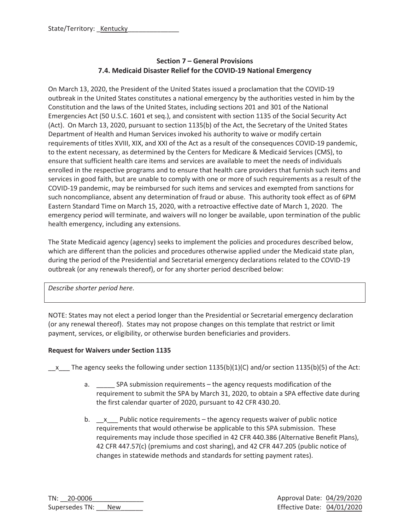## **Section 7 – General Provisions 7.4. Medicaid Disaster Relief for the COVID-19 National Emergency**

On March 13, 2020, the President of the United States issued a proclamation that the COVID-19 outbreak in the United States constitutes a national emergency by the authorities vested in him by the Constitution and the laws of the United States, including sections 201 and 301 of the National Emergencies Act (50 U.S.C. 1601 et seq.), and consistent with section 1135 of the Social Security Act (Act). On March 13, 2020, pursuant to section 1135(b) of the Act, the Secretary of the United States Department of Health and Human Services invoked his authority to waive or modify certain requirements of titles XVIII, XIX, and XXI of the Act as a result of the consequences COVID-19 pandemic, to the extent necessary, as determined by the Centers for Medicare & Medicaid Services (CMS), to ensure that sufficient health care items and services are available to meet the needs of individuals enrolled in the respective programs and to ensure that health care providers that furnish such items and services in good faith, but are unable to comply with one or more of such requirements as a result of the COVID-19 pandemic, may be reimbursed for such items and services and exempted from sanctions for such noncompliance, absent any determination of fraud or abuse. This authority took effect as of 6PM Eastern Standard Time on March 15, 2020, with a retroactive effective date of March 1, 2020. The emergency period will terminate, and waivers will no longer be available, upon termination of the public health emergency, including any extensions.

The State Medicaid agency (agency) seeks to implement the policies and procedures described below, which are different than the policies and procedures otherwise applied under the Medicaid state plan, during the period of the Presidential and Secretarial emergency declarations related to the COVID-19 outbreak (or any renewals thereof), or for any shorter period described below:

*Describe shorter period here.* 

NOTE: States may not elect a period longer than the Presidential or Secretarial emergency declaration (or any renewal thereof). States may not propose changes on this template that restrict or limit payment, services, or eligibility, or otherwise burden beneficiaries and providers.

### **Request for Waivers under Section 1135**

x The agency seeks the following under section 1135(b)(1)(C) and/or section 1135(b)(5) of the Act:

- a. SPA submission requirements the agency requests modification of the requirement to submit the SPA by March 31, 2020, to obtain a SPA effective date during the first calendar quarter of 2020, pursuant to 42 CFR 430.20.
- b.  $\quad x$  Public notice requirements the agency requests waiver of public notice requirements that would otherwise be applicable to this SPA submission. These requirements may include those specified in 42 CFR 440.386 (Alternative Benefit Plans), 42 CFR 447.57(c) (premiums and cost sharing), and 42 CFR 447.205 (public notice of changes in statewide methods and standards for setting payment rates).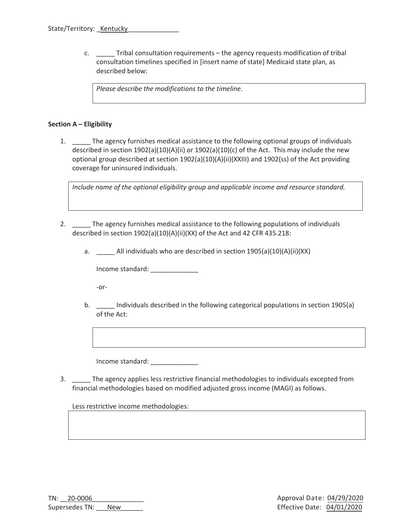c. \_\_\_\_\_ Tribal consultation requirements – the agency requests modification of tribal consultation timelines specified in [insert name of state] Medicaid state plan, as described below:

*Please describe the modifications to the timeline.* 

#### **Section A – Eligibility**

1. \_\_\_\_\_ The agency furnishes medical assistance to the following optional groups of individuals described in section 1902(a)(10)(A)(ii) or 1902(a)(10)(c) of the Act. This may include the new optional group described at section 1902(a)(10)(A)(ii)(XXIII) and 1902(ss) of the Act providing coverage for uninsured individuals.

*Include name of the optional eligibility group and applicable income and resource standard.* 

- 2. The agency furnishes medical assistance to the following populations of individuals described in section 1902(a)(10)(A)(ii)(XX) of the Act and 42 CFR 435.218:
	- a. \_\_\_\_\_ All individuals who are described in section 1905(a)(10)(A)(ii)(XX)

Income standard:

-or-

b. \_\_\_\_ Individuals described in the following categorical populations in section 1905(a) of the Act:

Income standard: \_\_\_\_\_\_\_\_\_\_\_\_\_

3. \_\_\_\_\_ The agency applies less restrictive financial methodologies to individuals excepted from financial methodologies based on modified adjusted gross income (MAGI) as follows.

Less restrictive income methodologies: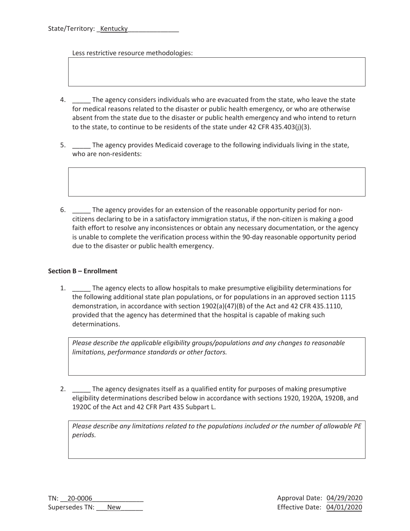Less restrictive resource methodologies:

- 4. The agency considers individuals who are evacuated from the state, who leave the state for medical reasons related to the disaster or public health emergency, or who are otherwise absent from the state due to the disaster or public health emergency and who intend to return to the state, to continue to be residents of the state under 42 CFR 435.403(j)(3).
- 5. \_\_\_\_\_ The agency provides Medicaid coverage to the following individuals living in the state, who are non-residents:
- 6. \_\_\_\_\_ The agency provides for an extension of the reasonable opportunity period for noncitizens declaring to be in a satisfactory immigration status, if the non-citizen is making a good faith effort to resolve any inconsistences or obtain any necessary documentation, or the agency is unable to complete the verification process within the 90-day reasonable opportunity period due to the disaster or public health emergency.

#### **Section B – Enrollment**

1. \_\_\_\_\_ The agency elects to allow hospitals to make presumptive eligibility determinations for the following additional state plan populations, or for populations in an approved section 1115 demonstration, in accordance with section 1902(a)(47)(B) of the Act and 42 CFR 435.1110, provided that the agency has determined that the hospital is capable of making such determinations.

*Please describe the applicable eligibility groups/populations and any changes to reasonable limitations, performance standards or other factors.* 

2. The agency designates itself as a qualified entity for purposes of making presumptive eligibility determinations described below in accordance with sections 1920, 1920A, 1920B, and 1920C of the Act and 42 CFR Part 435 Subpart L.

*Please describe any limitations related to the populations included or the number of allowable PE periods.*

TN: 20-0006 Supersedes TN: New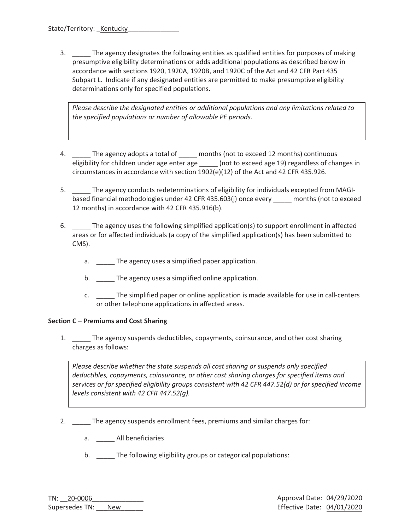3. \_\_\_\_\_ The agency designates the following entities as qualified entities for purposes of making presumptive eligibility determinations or adds additional populations as described below in accordance with sections 1920, 1920A, 1920B, and 1920C of the Act and 42 CFR Part 435 Subpart L. Indicate if any designated entities are permitted to make presumptive eligibility determinations only for specified populations.

*Please describe the designated entities or additional populations and any limitations related to the specified populations or number of allowable PE periods.* 

- 4. \_\_\_\_\_ The agency adopts a total of \_\_\_\_\_ months (not to exceed 12 months) continuous eligibility for children under age enter age \_\_\_\_\_ (not to exceed age 19) regardless of changes in circumstances in accordance with section 1902(e)(12) of the Act and 42 CFR 435.926.
- 5. \_\_\_\_\_ The agency conducts redeterminations of eligibility for individuals excepted from MAGIbased financial methodologies under 42 CFR 435.603(j) once every months (not to exceed 12 months) in accordance with 42 CFR 435.916(b).
- 6. \_\_\_\_\_ The agency uses the following simplified application(s) to support enrollment in affected areas or for affected individuals (a copy of the simplified application(s) has been submitted to CMS).
	- a. \_\_\_\_\_ The agency uses a simplified paper application.
	- b. \_\_\_\_\_ The agency uses a simplified online application.
	- c. The simplified paper or online application is made available for use in call-centers or other telephone applications in affected areas.

#### **Section C – Premiums and Cost Sharing**

1. \_\_\_\_\_ The agency suspends deductibles, copayments, coinsurance, and other cost sharing charges as follows:

*Please describe whether the state suspends all cost sharing or suspends only specified deductibles, copayments, coinsurance, or other cost sharing charges for specified items and services or for specified eligibility groups consistent with 42 CFR 447.52(d) or for specified income levels consistent with 42 CFR 447.52(g).* 

- 2. \_\_\_\_\_ The agency suspends enrollment fees, premiums and similar charges for:
	- a. All beneficiaries
	- b. \_\_\_\_\_ The following eligibility groups or categorical populations: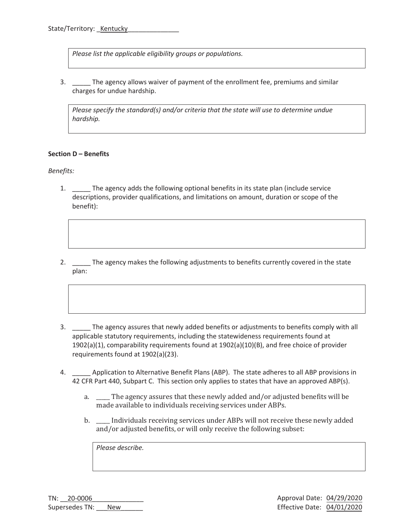*Please list the applicable eligibility groups or populations.* 

3. \_\_\_\_\_ The agency allows waiver of payment of the enrollment fee, premiums and similar charges for undue hardship.

*Please specify the standard(s) and/or criteria that the state will use to determine undue hardship.* 

#### **Section D – Benefits**

*Benefits:* 

- 1. \_\_\_\_\_ The agency adds the following optional benefits in its state plan (include service descriptions, provider qualifications, and limitations on amount, duration or scope of the benefit):
- 2. \_\_\_\_\_ The agency makes the following adjustments to benefits currently covered in the state plan:
- 3. \_\_\_\_\_ The agency assures that newly added benefits or adjustments to benefits comply with all applicable statutory requirements, including the statewideness requirements found at 1902(a)(1), comparability requirements found at 1902(a)(10)(B), and free choice of provider requirements found at 1902(a)(23).
- 4. \_\_\_\_\_ Application to Alternative Benefit Plans (ABP). The state adheres to all ABP provisions in 42 CFR Part 440, Subpart C. This section only applies to states that have an approved ABP(s).
	- a. \_\_\_\_\_ The agency assures that these newly added and/or adjusted benefits will be made available to individuals receiving services under ABPs.
	- b. \_\_\_\_\_ Individuals receiving services under ABPs will not receive these newly added and/or adjusted benefits, or will only receive the following subset:

*Please describe.*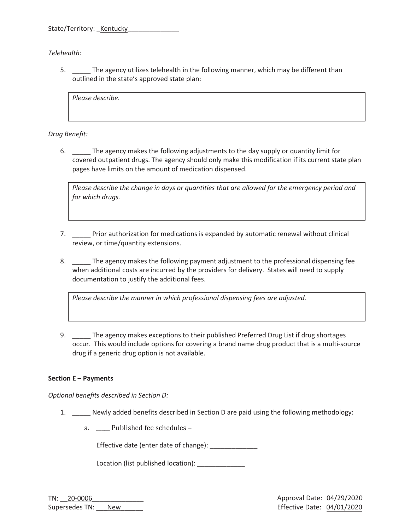State/Territory: Kentucky

*Telehealth:* 

5. \_\_\_\_\_ The agency utilizes telehealth in the following manner, which may be different than outlined in the state's approved state plan:

*Please describe.* 

*Drug Benefit:* 

6. \_\_\_\_\_ The agency makes the following adjustments to the day supply or quantity limit for covered outpatient drugs. The agency should only make this modification if its current state plan pages have limits on the amount of medication dispensed.

*Please describe the change in days or quantities that are allowed for the emergency period and for which drugs.* 

- 7. \_\_\_\_\_ Prior authorization for medications is expanded by automatic renewal without clinical review, or time/quantity extensions.
- 8. \_\_\_\_\_ The agency makes the following payment adjustment to the professional dispensing fee when additional costs are incurred by the providers for delivery. States will need to supply documentation to justify the additional fees.

*Please describe the manner in which professional dispensing fees are adjusted.* 

9. \_\_\_\_\_ The agency makes exceptions to their published Preferred Drug List if drug shortages occur. This would include options for covering a brand name drug product that is a multi-source drug if a generic drug option is not available.

#### **Section E – Payments**

*Optional benefits described in Section D:* 

- 1. \_\_\_\_\_ Newly added benefits described in Section D are paid using the following methodology:
	- a. \_\_\_\_\_ Published fee schedules –

Effective date (enter date of change): \_\_\_\_\_\_\_\_\_\_\_\_\_

Location (list published location):

TN: 20-0006 Supersedes TN: New Approval Date: 04/2ϵ/2020 Effective Date: 04/01/2020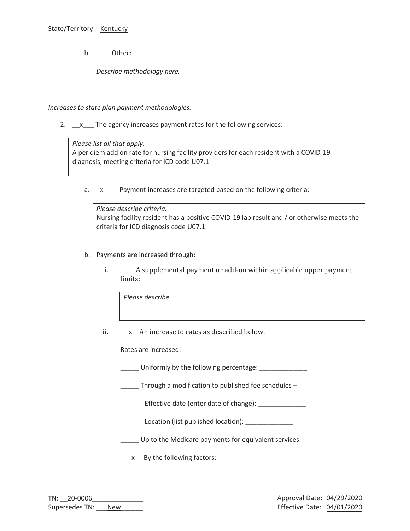b. Other:

*Describe methodology here.* 

*Increases to state plan payment methodologies:* 

2. \_\_x\_\_\_ The agency increases payment rates for the following services:

*Please list all that apply.*  A per diem add on rate for nursing facility providers for each resident with a COVID-19 diagnosis, meeting criteria for ICD code U07.1

a.  $x$  Payment increases are targeted based on the following criteria:

*Please describe criteria.*  Nursing facility resident has a positive COVID-19 lab result and / or otherwise meets the criteria for ICD diagnosis code U07.1.

- b. Payments are increased through:
	- i. A supplemental payment or add-on within applicable upper payment limits:

*Please describe.* 

ii. \_\_\_x\_ An increase to rates as described below.

Rates are increased:

\_\_\_\_\_ Uniformly by the following percentage: \_\_\_\_\_\_\_\_\_\_\_\_\_\_

Through a modification to published fee schedules  $-$ 

Effective date (enter date of change):

Location (list published location): \_\_\_\_\_\_\_\_\_\_\_\_\_

\_\_\_\_\_ Up to the Medicare payments for equivalent services.

\_\_\_\_x\_\_ By the following factors:

| TN: 20-0006    |            |  |
|----------------|------------|--|
| Supersedes TN: | <b>New</b> |  |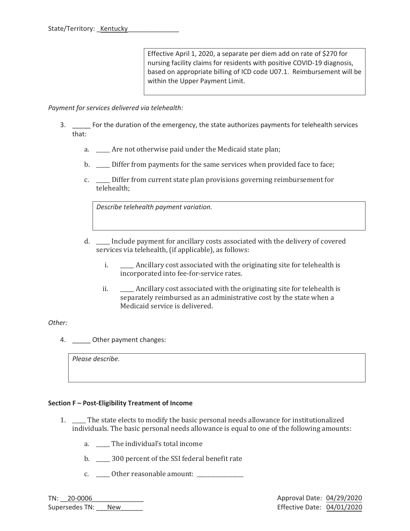Effective April 1, 2020, a separate per diem add on rate of \$270 for nursing facility claims for residents with positive COVID-19 diagnosis, based on appropriate billing of ICD code U07.1. Reimbursement will be within the Upper Payment Limit.

*Payment for services delivered via telehealth:* 

- 3. \_\_\_\_\_ For the duration of the emergency, the state authorizes payments for telehealth services that:
	- a. \_\_\_\_\_ Are not otherwise paid under the Medicaid state plan;
	- b. \_\_\_\_\_ Differ from payments for the same services when provided face to face;
	- c. \_\_\_\_\_ Differ from current state plan provisions governing reimbursement for telehealth;

*Describe telehealth payment variation.* 

- d. \_\_\_\_\_ Include payment for ancillary costs associated with the delivery of covered services via telehealth, (if applicable), as follows:
	- i. \_\_\_\_\_ Ancillary cost associated with the originating site for telehealth is incorporated into fee-for-service rates.
	- ii. \_\_\_\_\_\_ Ancillary cost associated with the originating site for telehealth is separately reimbursed as an administrative cost by the state when a Medicaid service is delivered.

#### *Other:*

4. \_\_\_\_\_ Other payment changes:

*Please describe.* 

#### **Section F – Post-Eligibility Treatment of Income**

- 1. \_\_\_\_\_ The state elects to modify the basic personal needs allowance for institutionalized individuals. The basic personal needs allowance is equal to one of the following amounts:
	- a. \_\_\_\_\_ The individual's total income
	- b.  $300$  percent of the SSI federal benefit rate
	- c. \_\_\_\_\_ Other reasonable amount: \_\_\_\_\_\_\_\_\_\_\_\_\_\_\_\_\_

TN: 20-0006 Supersedes TN: New